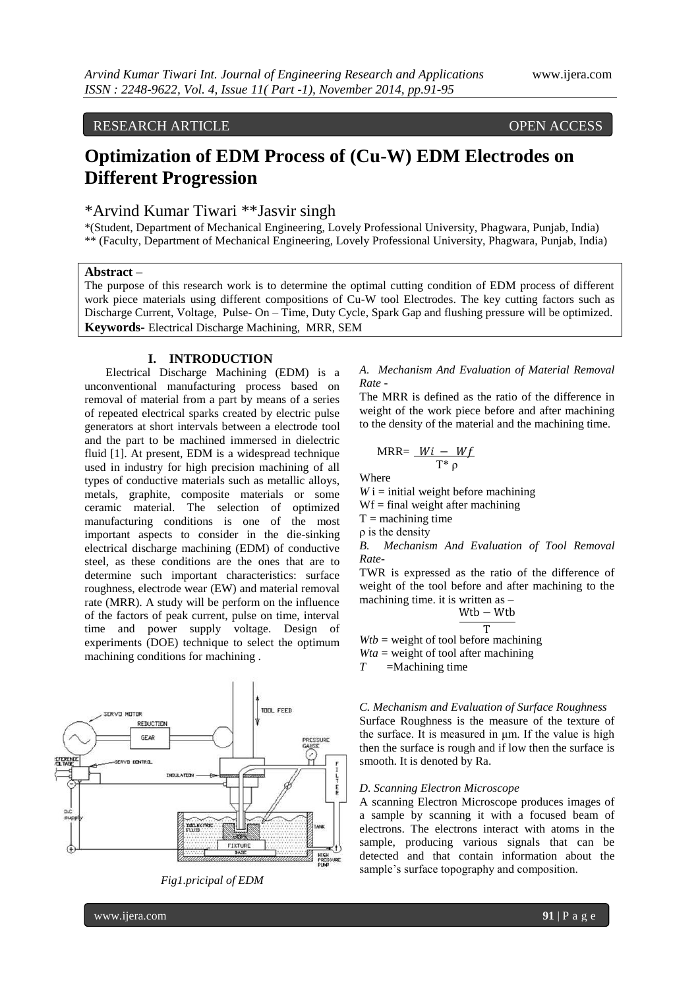# RESEARCH ARTICLE OPEN ACCESS

# **Optimization of EDM Process of (Cu-W) EDM Electrodes on Different Progression**

# \*Arvind Kumar Tiwari \*\*Jasvir singh

\*(Student, Department of Mechanical Engineering, Lovely Professional University, Phagwara, Punjab, India) \*\* (Faculty, Department of Mechanical Engineering, Lovely Professional University, Phagwara, Punjab, India)

## **Abstract –**

The purpose of this research work is to determine the optimal cutting condition of EDM process of different work piece materials using different compositions of Cu-W tool Electrodes. The key cutting factors such as Discharge Current, Voltage, Pulse- On – Time, Duty Cycle, Spark Gap and flushing pressure will be optimized. **Keywords-** Electrical Discharge Machining, MRR, SEM

### **I. INTRODUCTION**

Electrical Discharge Machining (EDM) is a unconventional manufacturing process based on removal of material from a part by means of a series of repeated electrical sparks created by electric pulse generators at short intervals between a electrode tool and the part to be machined immersed in dielectric fluid [1]. At present, EDM is a widespread technique used in industry for high precision machining of all types of conductive materials such as metallic alloys, metals, graphite, composite materials or some ceramic material. The selection of optimized manufacturing conditions is one of the most important aspects to consider in the die-sinking electrical discharge machining (EDM) of conductive steel, as these conditions are the ones that are to determine such important characteristics: surface roughness, electrode wear (EW) and material removal rate (MRR). A study will be perform on the influence of the factors of peak current, pulse on time, interval time and power supply voltage. Design of experiments (DOE) technique to select the optimum machining conditions for machining .





# *A. Mechanism And Evaluation of Material Removal Rate -*

The MRR is defined as the ratio of the difference in weight of the work piece before and after machining to the density of the material and the machining time.

$$
MRR = \frac{Wi - Wf}{T^* \rho}
$$

Where

 $W$  i = initial weight before machining

 $Wf = final weight after machine$ 

 $T =$  machining time

ρ is the density

*B. Mechanism And Evaluation of Tool Removal Rate-*

TWR is expressed as the ratio of the difference of weight of the tool before and after machining to the machining time. it is written as –

$$
\frac{r_{\text{tb}} - W_{\text{tb}}}{T}
$$

T  $Wtb$  = weight of tool before machining  $Wta$  = weight of tool after machining

 $W_1$ 

*T* =Machining time

# *C. Mechanism and Evaluation of Surface Roughness* Surface Roughness is the measure of the texture of the surface. It is measured in μm. If the value is high then the surface is rough and if low then the surface is smooth. It is denoted by Ra.

## *D. Scanning Electron Microscope*

A scanning Electron Microscope produces images of a sample by scanning it with a focused beam of electrons. The electrons interact with atoms in the sample, producing various signals that can be detected and that contain information about the sample's surface topography and composition.

www.ijera.com **91** | P a g e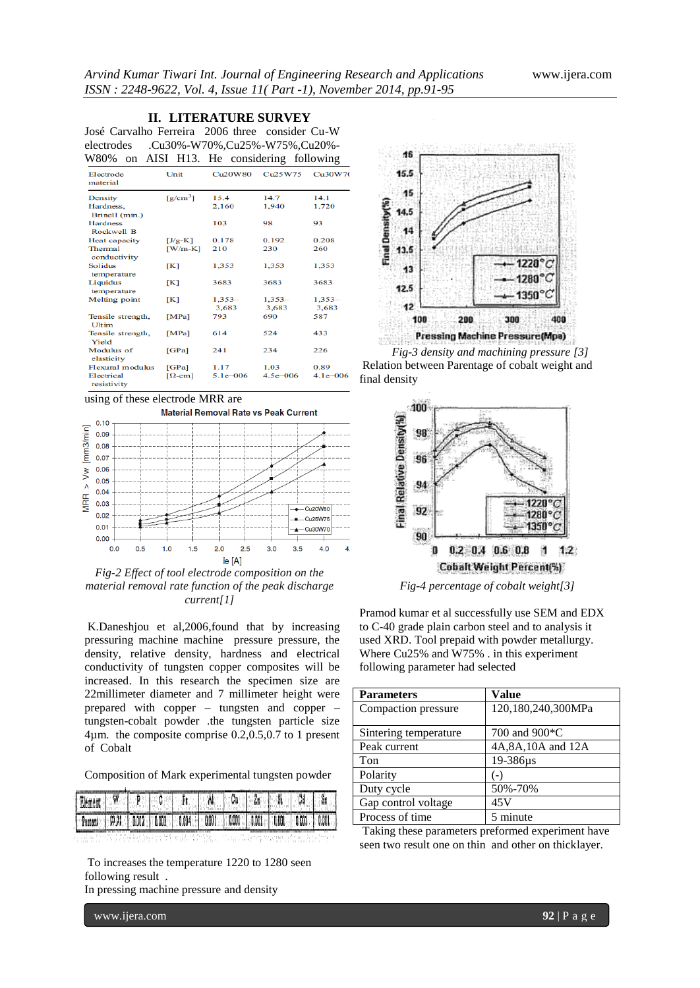#### **II. LITERATURE SURVEY**

José Carvalho Ferreira 2006 three consider Cu-W electrodes .Cu30%-W70%,Cu25%-W75%,Cu20%- W80% on AISI H13. He considering following

| Electrode<br>material             | Unit                   | Cu <sub>20</sub> W80 | Cu <sub>25</sub> W75 | Cu30W7            |
|-----------------------------------|------------------------|----------------------|----------------------|-------------------|
| Density                           | $\lceil g/cm^3 \rceil$ | 15.4                 | 14.7                 | 14.1              |
| Hardness.<br>Brinell (min.)       |                        | 2,160                | 1,940                | 1,720             |
| <b>Hardness</b><br>Rockwell B     |                        | 103                  | 98                   | 93                |
| <b>Heat capacity</b>              | $[J/g-K]$              | 0.178                | 0.192                | 0.208             |
| Thermal<br>conductivity           | $[W/m-K]$              | 210                  | 230                  | 260               |
| <b>Solidus</b><br>temperature     | [K]                    | 1,353                | 1,353                | 1,353             |
| Liquidus<br>temperature           | ſКI                    | 3683                 | 3683                 | 3683              |
| <b>Melting</b> point              | [K]                    | $1,353-$<br>3,683    | $1,353-$<br>3,683    | $1,353-$<br>3,683 |
| Tensile strength,<br><b>Ultim</b> | [MPa]                  | 793                  | 690                  | 587               |
| Tensile strength,<br><b>Yield</b> | [MPa]                  | 614                  | 524                  | 433               |
| Modulus of<br>elasticity          | [GPa]                  | 241                  | 234                  | 226               |
| <b>Flexural</b> modulus           | [GPa]                  | 1.17                 | 1.03                 | 0.89              |
| Electrical<br>resistivity         | $[\Omega$ -cm]         | $5.1e - 006$         | $4.5e - 006$         | $4.1e - 006$      |

using of these electrode MRR are



*Fig-2 Effect of tool electrode composition on the material removal rate function of the peak discharge current[1]*

K.Daneshjou et al,2006,found that by increasing pressuring machine machine pressure pressure, the density, relative density, hardness and electrical conductivity of tungsten copper composites will be increased. In this research the specimen size are 22millimeter diameter and 7 millimeter height were prepared with copper – tungsten and copper – tungsten-cobalt powder .the tungsten particle size 4µm. the composite comprise 0.2,0.5,0.7 to 1 present of Cobalt

Composition of Mark experimental tungsten powder

| Element V P C Ft A Cu 2n S Gd Sn                                                        |  |  |  |  |  |
|-----------------------------------------------------------------------------------------|--|--|--|--|--|
| Persons   99.98   0.002   0.003   0.004   0.001   0.001   0.001   0.001   0.001   0.001 |  |  |  |  |  |
|                                                                                         |  |  |  |  |  |

To increases the temperature 1220 to 1280 seen following result .

In pressing machine pressure and density

www.ijera.com **92** | P a g e



Relation between Parentage of cobalt weight and final density



*Fig-4 percentage of cobalt weight[3]*

Pramod kumar et al successfully use SEM and EDX to C-40 grade plain carbon steel and to analysis it used XRD. Tool prepaid with powder metallurgy. Where Cu25% and W75% . in this experiment following parameter had selected

| <b>Parameters</b>     | <b>Value</b>       |
|-----------------------|--------------------|
| Compaction pressure   | 120,180,240,300MPa |
| Sintering temperature | 700 and 900*C      |
| Peak current          | 4A,8A,10A and 12A  |
| Ton                   | 19-386µs           |
| Polarity              | ( – )              |
| Duty cycle            | 50%-70%            |
| Gap control voltage   | 45V                |
| Process of time       | 5 minute           |

Taking these parameters preformed experiment have seen two result one on thin and other on thicklayer.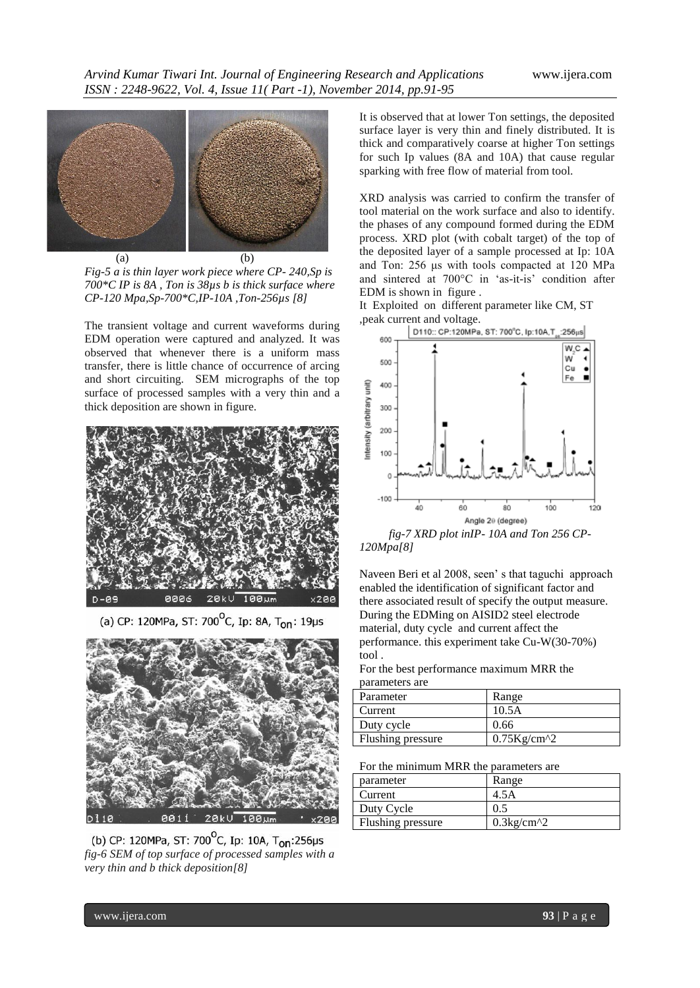

*Fig-5 a is thin layer work piece where CP- 240,Sp is 700\*C IP is 8A , Ton is 38µs b is thick surface where CP-120 Mpa,Sp-700\*C,IP-10A ,Ton-256µs [8]*

The transient voltage and current waveforms during EDM operation were captured and analyzed. It was observed that whenever there is a uniform mass transfer, there is little chance of occurrence of arcing and short circuiting. SEM micrographs of the top surface of processed samples with a very thin and a thick deposition are shown in figure.



Ip: 8A,  $T_{on}$ : 19µs (a) CP: 120MPa, ST: 700



(b) CP: 120MPa, ST: 700<sup>o</sup>C, Ip: 10A, T<sub>on</sub>:256µs *fig-6 SEM of top surface of processed samples with a very thin and b thick deposition[8]*

It is observed that at lower Ton settings, the deposited surface layer is very thin and finely distributed. It is thick and comparatively coarse at higher Ton settings for such Ip values (8A and 10A) that cause regular sparking with free flow of material from tool.

XRD analysis was carried to confirm the transfer of tool material on the work surface and also to identify. the phases of any compound formed during the EDM process. XRD plot (with cobalt target) of the top of the deposited layer of a sample processed at Ip: 10A and Ton: 256 μs with tools compacted at 120 MPa and sintered at 700°C in 'as-it-is' condition after EDM is shown in figure .

It Exploited on different parameter like CM, ST ,peak current and voltage.



*120Mpa[8]*

Naveen Beri et al 2008, seen" s that taguchi approach enabled the identification of significant factor and there associated result of specify the output measure. During the EDMing on AISID2 steel electrode material, duty cycle and current affect the performance. this experiment take Cu-W(30-70%) tool .

For the best performance maximum MRR the parameters are

| Parameter         | Range             |
|-------------------|-------------------|
| Current           | 10.5A             |
| Duty cycle        | 0.66              |
| Flushing pressure | $0.75$ Kg/cm $^2$ |

For the minimum MRR the parameters are

| parameter         | Range               |
|-------------------|---------------------|
| Current           | 4.5A                |
| Duty Cycle        | 0.5                 |
| Flushing pressure | $0.3\text{kg/cm}^2$ |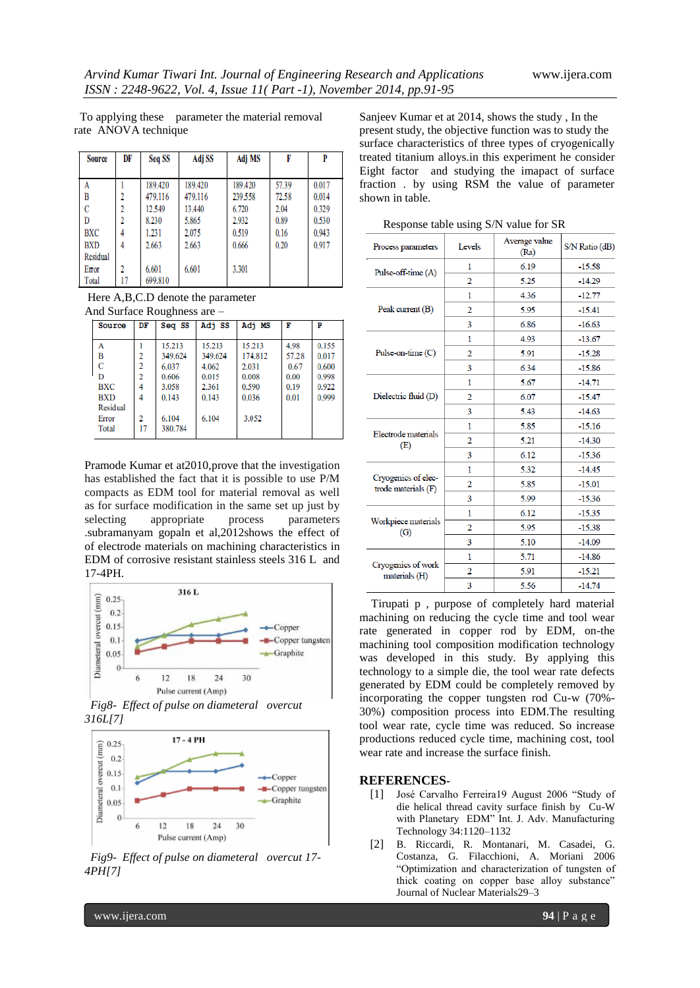To applying these parameter the material removal rate ANOVA technique

| <b>Source</b>   | DF             | Seq SS  | Adj SS  | Adj MS  | F     | P     |
|-----------------|----------------|---------|---------|---------|-------|-------|
|                 |                |         |         |         |       |       |
| A               |                | 189.420 | 189.420 | 189.420 | 57.39 | 0.017 |
| B               |                | 479.116 | 479.116 | 239.558 | 72.58 | 0.014 |
| C               | 2              | 12.549  | 13.440  | 6.720   | 2.04  | 0.329 |
| D               | $\overline{2}$ | 8.230   | 5.865   | 2.932   | 0.89  | 0.530 |
| <b>BXC</b>      | 4              | 1.231   | 2.075   | 0.519   | 0.16  | 0.943 |
| <b>BXD</b>      | 4              | 2.663   | 2.663   | 0.666   | 0.20  | 0.917 |
| <b>Residual</b> |                |         |         |         |       |       |
| Error           | 2              | 6.601   | 6.601   | 3.301   |       |       |
| Total           | 17             | 699.810 |         |         |       |       |

Here A,B,C.D denote the parameter And Surface Roughness are –

| Source                                                                     | DF                               | Seq SS                                                                    | Adj SS                                                         | Adj MS                                                         | F                                             | P                                                  |
|----------------------------------------------------------------------------|----------------------------------|---------------------------------------------------------------------------|----------------------------------------------------------------|----------------------------------------------------------------|-----------------------------------------------|----------------------------------------------------|
| A<br>B<br>C<br>D<br><b>BXC</b><br><b>BXD</b><br>Residual<br>Error<br>Total | 2<br>2<br>2<br>4<br>4<br>2<br>17 | 15.213<br>349.624<br>6.037<br>0.606<br>3.058<br>0.143<br>6.104<br>380.784 | 15.213<br>349.624<br>4.062<br>0.015<br>2.361<br>0.143<br>6.104 | 15.213<br>174.812<br>2.031<br>0.008<br>0.590<br>0.036<br>3.052 | 4.98<br>57.28<br>0.67<br>0.00<br>0.19<br>0.01 | 0.155<br>0.017<br>0.600<br>0.998<br>0.922<br>0.999 |

Pramode Kumar et at2010,prove that the investigation has established the fact that it is possible to use P/M compacts as EDM tool for material removal as well as for surface modification in the same set up just by selecting appropriate process parameters .subramanyam gopaln et al,2012shows the effect of of electrode materials on machining characteristics in EDM of corrosive resistant stainless steels 316 L and 17-4PH.



*Fig8- Effect of pulse on diameteral overcut 316L[7]*



*Fig9- Effect of pulse on diameteral overcut 17- 4PH[7]*

Sanjeev Kumar et at 2014, shows the study , In the present study, the objective function was to study the surface characteristics of three types of cryogenically treated titanium alloys.in this experiment he consider Eight factor and studying the imapact of surface fraction . by using RSM the value of parameter shown in table.

Response table using S/N value for SR

| Process parameters                         | Levels         | Average value<br>(Ra) | S/N Ratio (dB) |  |
|--------------------------------------------|----------------|-----------------------|----------------|--|
| Pulse-off-time (A)                         | 1              | 6.19                  | $-15.58$       |  |
|                                            | $\overline{2}$ | 5.25                  | $-14.29$       |  |
|                                            | 1              | 4.36                  | $-12.77$       |  |
| Peak current (B)                           | 2              | 5.95                  | $-15.41$       |  |
|                                            | 3              | 6.86                  | $-16.63$       |  |
|                                            | 1              | 4.93                  | $-13.67$       |  |
| Pulse-on-time $(C)$                        | 2              | 5.91                  | $-15.28$       |  |
|                                            | 3              | 6.34                  | $-15.86$       |  |
| Dielectric fluid (D)                       | 1              | 5.67                  | $-14.71$       |  |
|                                            | $\overline{2}$ | 6.07                  | $-15.47$       |  |
|                                            | 3              | 5.43                  | $-14.63$       |  |
|                                            | 1              | 5.85                  | $-15.16$       |  |
| Electrode materials<br>(E)                 | $\overline{2}$ | 5.21                  | $-14.30$       |  |
|                                            | 3              | 6.12                  | $-15.36$       |  |
|                                            | 1              | 5.32                  | $-14.45$       |  |
| Cryogenics of elec-<br>trode materials (F) | 2              | 5.85                  | $-15.01$       |  |
|                                            | 3              | 5.99                  | $-15.36$       |  |
|                                            | 1              | 6.12                  | $-15.35$       |  |
| Workpiece materials<br>(G)                 | 2              | 5.95                  | $-15.38$       |  |
|                                            | 3              | 5.10                  | $-14.09$       |  |
|                                            | 1              | 5.71                  | $-14.86$       |  |
| Cryogenics of work<br>materials (H)        | 2              | 5.91                  | $-15.21$       |  |
|                                            | 3              | 5.56                  | $-14.74$       |  |

 Tirupati p , purpose of completely hard material machining on reducing the cycle time and tool wear rate generated in copper rod by EDM, on-the machining tool composition modification technology was developed in this study. By applying this technology to a simple die, the tool wear rate defects generated by EDM could be completely removed by incorporating the copper tungsten rod Cu-w (70%- 30%) composition process into EDM.The resulting tool wear rate, cycle time was reduced. So increase productions reduced cycle time, machining cost, tool wear rate and increase the surface finish.

## **REFERENCES-**

- [1] José Carvalho Ferreira19 August 2006 "Study of die helical thread cavity surface finish by Cu-W with Planetary EDM" Int. J. Adv. Manufacturing Technology 34:1120–1132
- [2] B. Riccardi, R. Montanari, M. Casadei, G. Costanza, G. Filacchioni, A. Moriani 2006 "Optimization and characterization of tungsten of thick coating on copper base alloy substance" Journal of Nuclear Materials29–3